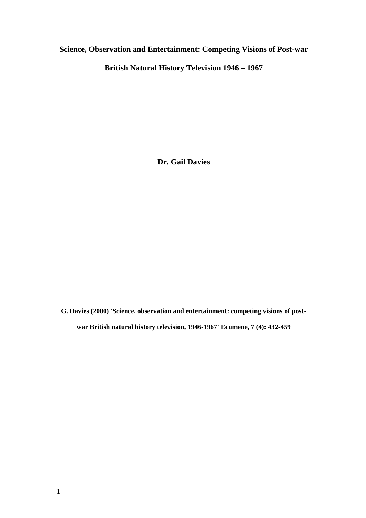# **Science, Observation and Entertainment: Competing Visions of Post-war**

**British Natural History Television 1946 – 1967**

**Dr. Gail Davies**

**G. Davies (2000) 'Science, observation and entertainment: competing visions of postwar British natural history television, 1946-1967' Ecumene, 7 (4): 432-459**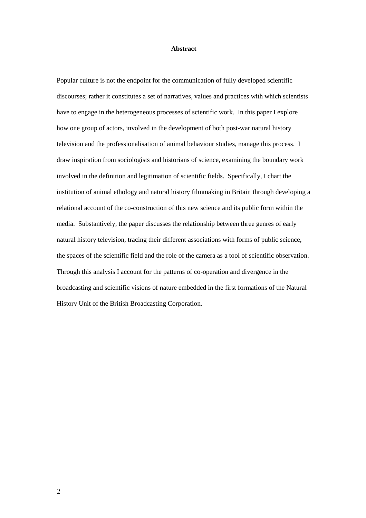#### **Abstract**

Popular culture is not the endpoint for the communication of fully developed scientific discourses; rather it constitutes a set of narratives, values and practices with which scientists have to engage in the heterogeneous processes of scientific work. In this paper I explore how one group of actors, involved in the development of both post-war natural history television and the professionalisation of animal behaviour studies, manage this process. I draw inspiration from sociologists and historians of science, examining the boundary work involved in the definition and legitimation of scientific fields. Specifically, I chart the institution of animal ethology and natural history filmmaking in Britain through developing a relational account of the co-construction of this new science and its public form within the media. Substantively, the paper discusses the relationship between three genres of early natural history television, tracing their different associations with forms of public science, the spaces of the scientific field and the role of the camera as a tool of scientific observation. Through this analysis I account for the patterns of co-operation and divergence in the broadcasting and scientific visions of nature embedded in the first formations of the Natural History Unit of the British Broadcasting Corporation.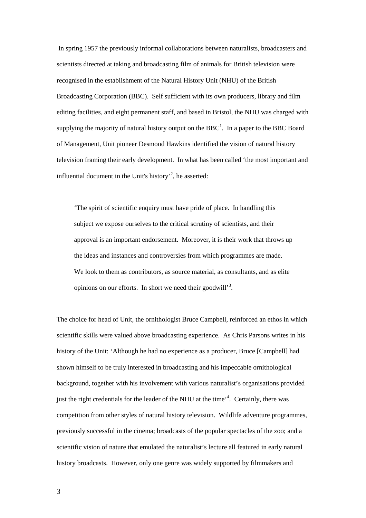In spring 1957 the previously informal collaborations between naturalists, broadcasters and scientists directed at taking and broadcasting film of animals for British television were recognised in the establishment of the Natural History Unit (NHU) of the British Broadcasting Corporation (BBC). Self sufficient with its own producers, library and film editing facilities, and eight permanent staff, and based in Bristol, the NHU was charged with supplying the majority of natural history output on the  $BBC<sup>1</sup>$ . In a paper to the BBC Board of Management, Unit pioneer Desmond Hawkins identified the vision of natural history television framing their early development. In what has been called 'the most important and influential document in the Unit's history<sup>2</sup>, he asserted:

'The spirit of scientific enquiry must have pride of place. In handling this subject we expose ourselves to the critical scrutiny of scientists, and their approval is an important endorsement. Moreover, it is their work that throws up the ideas and instances and controversies from which programmes are made. We look to them as contributors, as source material, as consultants, and as elite opinions on our efforts. In short we need their goodwill'<sup>3</sup>.

The choice for head of Unit, the ornithologist Bruce Campbell, reinforced an ethos in which scientific skills were valued above broadcasting experience. As Chris Parsons writes in his history of the Unit: 'Although he had no experience as a producer, Bruce [Campbell] had shown himself to be truly interested in broadcasting and his impeccable ornithological background, together with his involvement with various naturalist's organisations provided just the right credentials for the leader of the NHU at the time<sup>34</sup>. Certainly, there was competition from other styles of natural history television. Wildlife adventure programmes, previously successful in the cinema; broadcasts of the popular spectacles of the zoo; and a scientific vision of nature that emulated the naturalist's lecture all featured in early natural history broadcasts. However, only one genre was widely supported by filmmakers and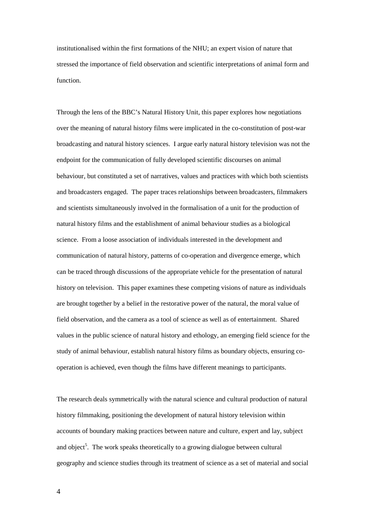institutionalised within the first formations of the NHU; an expert vision of nature that stressed the importance of field observation and scientific interpretations of animal form and function.

Through the lens of the BBC's Natural History Unit, this paper explores how negotiations over the meaning of natural history films were implicated in the co-constitution of post-war broadcasting and natural history sciences. I argue early natural history television was not the endpoint for the communication of fully developed scientific discourses on animal behaviour, but constituted a set of narratives, values and practices with which both scientists and broadcasters engaged. The paper traces relationships between broadcasters, filmmakers and scientists simultaneously involved in the formalisation of a unit for the production of natural history films and the establishment of animal behaviour studies as a biological science. From a loose association of individuals interested in the development and communication of natural history, patterns of co-operation and divergence emerge, which can be traced through discussions of the appropriate vehicle for the presentation of natural history on television. This paper examines these competing visions of nature as individuals are brought together by a belief in the restorative power of the natural, the moral value of field observation, and the camera as a tool of science as well as of entertainment. Shared values in the public science of natural history and ethology, an emerging field science for the study of animal behaviour, establish natural history films as boundary objects, ensuring cooperation is achieved, even though the films have different meanings to participants.

The research deals symmetrically with the natural science and cultural production of natural history filmmaking, positioning the development of natural history television within accounts of boundary making practices between nature and culture, expert and lay, subject and object<sup>5</sup>. The work speaks theoretically to a growing dialogue between cultural geography and science studies through its treatment of science as a set of material and social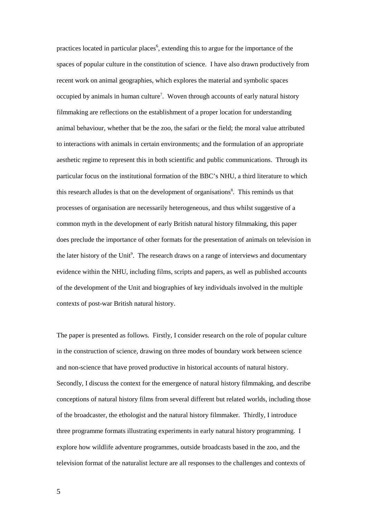practices located in particular places<sup>6</sup>, extending this to argue for the importance of the spaces of popular culture in the constitution of science. I have also drawn productively from recent work on animal geographies, which explores the material and symbolic spaces occupied by animals in human culture<sup>7</sup>. Woven through accounts of early natural history filmmaking are reflections on the establishment of a proper location for understanding animal behaviour, whether that be the zoo, the safari or the field; the moral value attributed to interactions with animals in certain environments; and the formulation of an appropriate aesthetic regime to represent this in both scientific and public communications. Through its particular focus on the institutional formation of the BBC's NHU, a third literature to which this research alludes is that on the development of organisations<sup>8</sup>. This reminds us that processes of organisation are necessarily heterogeneous, and thus whilst suggestive of a common myth in the development of early British natural history filmmaking, this paper does preclude the importance of other formats for the presentation of animals on television in the later history of the Unit<sup>9</sup>. The research draws on a range of interviews and documentary evidence within the NHU, including films, scripts and papers, as well as published accounts of the development of the Unit and biographies of key individuals involved in the multiple contexts of post-war British natural history.

The paper is presented as follows. Firstly, I consider research on the role of popular culture in the construction of science, drawing on three modes of boundary work between science and non-science that have proved productive in historical accounts of natural history. Secondly, I discuss the context for the emergence of natural history filmmaking, and describe conceptions of natural history films from several different but related worlds, including those of the broadcaster, the ethologist and the natural history filmmaker. Thirdly, I introduce three programme formats illustrating experiments in early natural history programming. I explore how wildlife adventure programmes, outside broadcasts based in the zoo, and the television format of the naturalist lecture are all responses to the challenges and contexts of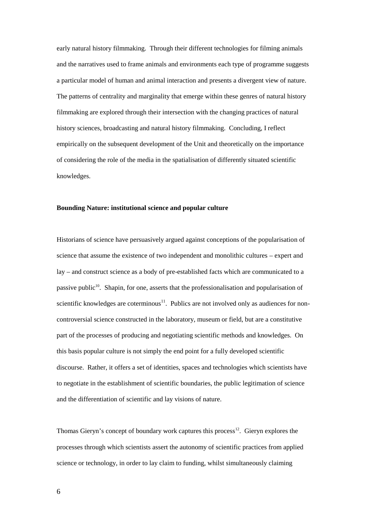early natural history filmmaking. Through their different technologies for filming animals and the narratives used to frame animals and environments each type of programme suggests a particular model of human and animal interaction and presents a divergent view of nature. The patterns of centrality and marginality that emerge within these genres of natural history filmmaking are explored through their intersection with the changing practices of natural history sciences, broadcasting and natural history filmmaking. Concluding, I reflect empirically on the subsequent development of the Unit and theoretically on the importance of considering the role of the media in the spatialisation of differently situated scientific knowledges.

### **Bounding Nature: institutional science and popular culture**

Historians of science have persuasively argued against conceptions of the popularisation of science that assume the existence of two independent and monolithic cultures – expert and lay – and construct science as a body of pre-established facts which are communicated to a passive public<sup>10</sup>. Shapin, for one, asserts that the professionalisation and popularisation of scientific knowledges are coterminous<sup>11</sup>. Publics are not involved only as audiences for noncontroversial science constructed in the laboratory, museum or field, but are a constitutive part of the processes of producing and negotiating scientific methods and knowledges. On this basis popular culture is not simply the end point for a fully developed scientific discourse. Rather, it offers a set of identities, spaces and technologies which scientists have to negotiate in the establishment of scientific boundaries, the public legitimation of science and the differentiation of scientific and lay visions of nature.

Thomas Gieryn's concept of boundary work captures this process<sup>12</sup>. Gieryn explores the processes through which scientists assert the autonomy of scientific practices from applied science or technology, in order to lay claim to funding, whilst simultaneously claiming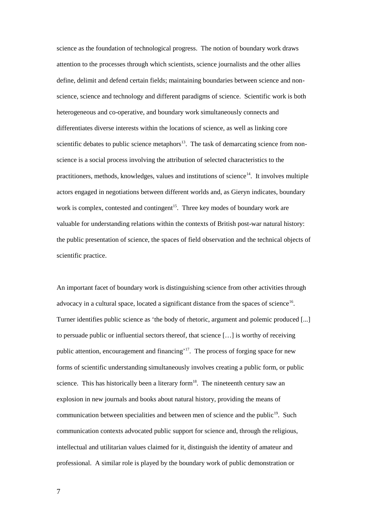science as the foundation of technological progress. The notion of boundary work draws attention to the processes through which scientists, science journalists and the other allies define, delimit and defend certain fields; maintaining boundaries between science and nonscience, science and technology and different paradigms of science. Scientific work is both heterogeneous and co-operative, and boundary work simultaneously connects and differentiates diverse interests within the locations of science, as well as linking core scientific debates to public science metaphors $13$ . The task of demarcating science from nonscience is a social process involving the attribution of selected characteristics to the practitioners, methods, knowledges, values and institutions of science<sup>14</sup>. It involves multiple actors engaged in negotiations between different worlds and, as Gieryn indicates, boundary work is complex, contested and contingent<sup>15</sup>. Three key modes of boundary work are valuable for understanding relations within the contexts of British post-war natural history: the public presentation of science, the spaces of field observation and the technical objects of scientific practice.

An important facet of boundary work is distinguishing science from other activities through advocacy in a cultural space, located a significant distance from the spaces of science<sup>16</sup>. Turner identifies public science as 'the body of rhetoric, argument and polemic produced [...] to persuade public or influential sectors thereof, that science […] is worthy of receiving public attention, encouragement and financing'<sup>17</sup>. The process of forging space for new forms of scientific understanding simultaneously involves creating a public form, or public science. This has historically been a literary form $18$ . The nineteenth century saw an explosion in new journals and books about natural history, providing the means of communication between specialities and between men of science and the public<sup>19</sup>. Such communication contexts advocated public support for science and, through the religious, intellectual and utilitarian values claimed for it, distinguish the identity of amateur and professional. A similar role is played by the boundary work of public demonstration or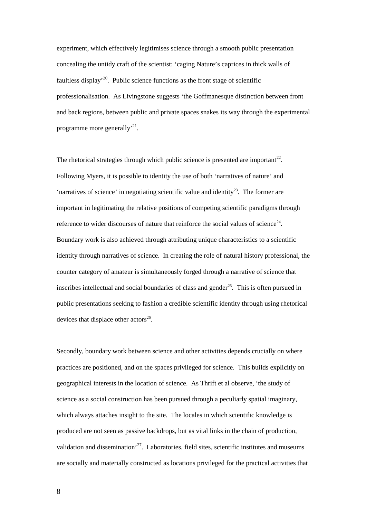experiment, which effectively legitimises science through a smooth public presentation concealing the untidy craft of the scientist: 'caging Nature's caprices in thick walls of faultless display<sup>20</sup>. Public science functions as the front stage of scientific professionalisation. As Livingstone suggests 'the Goffmanesque distinction between front and back regions, between public and private spaces snakes its way through the experimental programme more generally<sup>21</sup>.

The rhetorical strategies through which public science is presented are important<sup>22</sup>. Following Myers, it is possible to identity the use of both 'narratives of nature' and 'narratives of science' in negotiating scientific value and identity<sup>23</sup>. The former are important in legitimating the relative positions of competing scientific paradigms through reference to wider discourses of nature that reinforce the social values of science<sup>24</sup>. Boundary work is also achieved through attributing unique characteristics to a scientific identity through narratives of science. In creating the role of natural history professional, the counter category of amateur is simultaneously forged through a narrative of science that inscribes intellectual and social boundaries of class and gender<sup>25</sup>. This is often pursued in public presentations seeking to fashion a credible scientific identity through using rhetorical devices that displace other actors<sup>26</sup>.

Secondly, boundary work between science and other activities depends crucially on where practices are positioned, and on the spaces privileged for science. This builds explicitly on geographical interests in the location of science. As Thrift et al observe, 'the study of science as a social construction has been pursued through a peculiarly spatial imaginary, which always attaches insight to the site. The locales in which scientific knowledge is produced are not seen as passive backdrops, but as vital links in the chain of production, validation and dissemination<sup> $27$ </sup>. Laboratories, field sites, scientific institutes and museums are socially and materially constructed as locations privileged for the practical activities that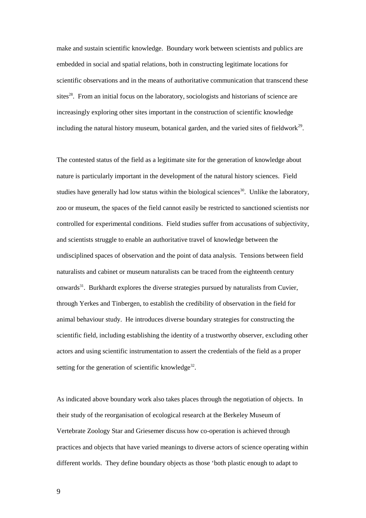make and sustain scientific knowledge. Boundary work between scientists and publics are embedded in social and spatial relations, both in constructing legitimate locations for scientific observations and in the means of authoritative communication that transcend these sites<sup>28</sup>. From an initial focus on the laboratory, sociologists and historians of science are increasingly exploring other sites important in the construction of scientific knowledge including the natural history museum, botanical garden, and the varied sites of fieldwork $2^9$ .

The contested status of the field as a legitimate site for the generation of knowledge about nature is particularly important in the development of the natural history sciences. Field studies have generally had low status within the biological sciences<sup>30</sup>. Unlike the laboratory, zoo or museum, the spaces of the field cannot easily be restricted to sanctioned scientists nor controlled for experimental conditions. Field studies suffer from accusations of subjectivity, and scientists struggle to enable an authoritative travel of knowledge between the undisciplined spaces of observation and the point of data analysis. Tensions between field naturalists and cabinet or museum naturalists can be traced from the eighteenth century onwards<sup>31</sup>. Burkhardt explores the diverse strategies pursued by naturalists from Cuvier, through Yerkes and Tinbergen, to establish the credibility of observation in the field for animal behaviour study. He introduces diverse boundary strategies for constructing the scientific field, including establishing the identity of a trustworthy observer, excluding other actors and using scientific instrumentation to assert the credentials of the field as a proper setting for the generation of scientific knowledge<sup>32</sup>.

As indicated above boundary work also takes places through the negotiation of objects. In their study of the reorganisation of ecological research at the Berkeley Museum of Vertebrate Zoology Star and Griesemer discuss how co-operation is achieved through practices and objects that have varied meanings to diverse actors of science operating within different worlds. They define boundary objects as those 'both plastic enough to adapt to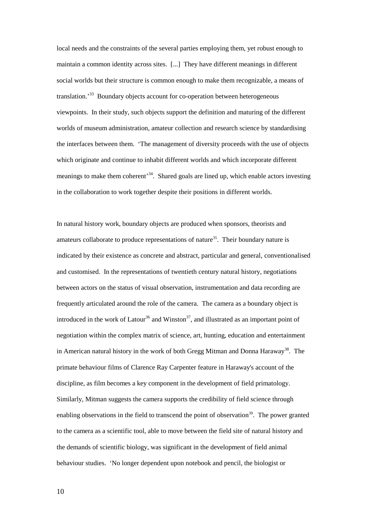local needs and the constraints of the several parties employing them, yet robust enough to maintain a common identity across sites. [...] They have different meanings in different social worlds but their structure is common enough to make them recognizable, a means of translation.<sup>33</sup> Boundary objects account for co-operation between heterogeneous viewpoints. In their study, such objects support the definition and maturing of the different worlds of museum administration, amateur collection and research science by standardising the interfaces between them. 'The management of diversity proceeds with the use of objects which originate and continue to inhabit different worlds and which incorporate different meanings to make them coherent<sup>34</sup>. Shared goals are lined up, which enable actors investing in the collaboration to work together despite their positions in different worlds.

In natural history work, boundary objects are produced when sponsors, theorists and amateurs collaborate to produce representations of nature $35$ . Their boundary nature is indicated by their existence as concrete and abstract, particular and general, conventionalised and customised. In the representations of twentieth century natural history, negotiations between actors on the status of visual observation, instrumentation and data recording are frequently articulated around the role of the camera. The camera as a boundary object is introduced in the work of Latour<sup>36</sup> and Winston<sup>37</sup>, and illustrated as an important point of negotiation within the complex matrix of science, art, hunting, education and entertainment in American natural history in the work of both Gregg Mitman and Donna Haraway<sup>38</sup>. The primate behaviour films of Clarence Ray Carpenter feature in Haraway's account of the discipline, as film becomes a key component in the development of field primatology. Similarly, Mitman suggests the camera supports the credibility of field science through enabling observations in the field to transcend the point of observation<sup>39</sup>. The power granted to the camera as a scientific tool, able to move between the field site of natural history and the demands of scientific biology, was significant in the development of field animal behaviour studies. 'No longer dependent upon notebook and pencil, the biologist or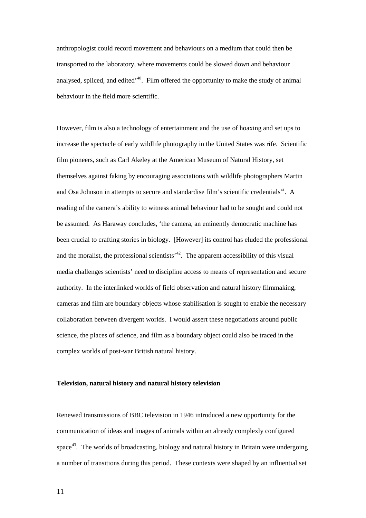anthropologist could record movement and behaviours on a medium that could then be transported to the laboratory, where movements could be slowed down and behaviour analysed, spliced, and edited<sup> $40$ </sup>. Film offered the opportunity to make the study of animal behaviour in the field more scientific.

However, film is also a technology of entertainment and the use of hoaxing and set ups to increase the spectacle of early wildlife photography in the United States was rife. Scientific film pioneers, such as Carl Akeley at the American Museum of Natural History, set themselves against faking by encouraging associations with wildlife photographers Martin and Osa Johnson in attempts to secure and standardise film's scientific credentials $41$ . A reading of the camera's ability to witness animal behaviour had to be sought and could not be assumed. As Haraway concludes, 'the camera, an eminently democratic machine has been crucial to crafting stories in biology. [However] its control has eluded the professional and the moralist, the professional scientists<sup> $12$ </sup>. The apparent accessibility of this visual media challenges scientists' need to discipline access to means of representation and secure authority. In the interlinked worlds of field observation and natural history filmmaking, cameras and film are boundary objects whose stabilisation is sought to enable the necessary collaboration between divergent worlds. I would assert these negotiations around public science, the places of science, and film as a boundary object could also be traced in the complex worlds of post-war British natural history.

#### **Television, natural history and natural history television**

Renewed transmissions of BBC television in 1946 introduced a new opportunity for the communication of ideas and images of animals within an already complexly configured space<sup>43</sup>. The worlds of broadcasting, biology and natural history in Britain were undergoing a number of transitions during this period. These contexts were shaped by an influential set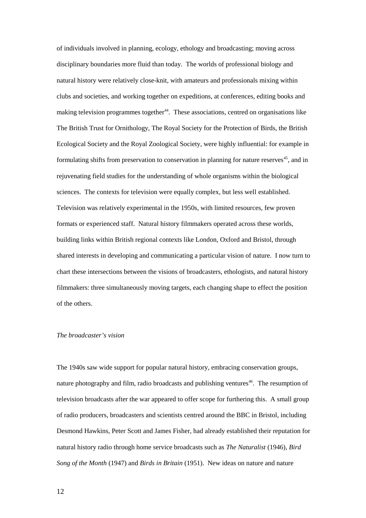of individuals involved in planning, ecology, ethology and broadcasting; moving across disciplinary boundaries more fluid than today. The worlds of professional biology and natural history were relatively close-knit, with amateurs and professionals mixing within clubs and societies, and working together on expeditions, at conferences, editing books and making television programmes together<sup>44</sup>. These associations, centred on organisations like The British Trust for Ornithology, The Royal Society for the Protection of Birds, the British Ecological Society and the Royal Zoological Society, were highly influential: for example in formulating shifts from preservation to conservation in planning for nature reserves<sup>45</sup>, and in rejuvenating field studies for the understanding of whole organisms within the biological sciences. The contexts for television were equally complex, but less well established. Television was relatively experimental in the 1950s, with limited resources, few proven formats or experienced staff. Natural history filmmakers operated across these worlds, building links within British regional contexts like London, Oxford and Bristol, through shared interests in developing and communicating a particular vision of nature. I now turn to chart these intersections between the visions of broadcasters, ethologists, and natural history filmmakers: three simultaneously moving targets, each changing shape to effect the position of the others.

### *The broadcaster's vision*

The 1940s saw wide support for popular natural history, embracing conservation groups, nature photography and film, radio broadcasts and publishing ventures<sup>46</sup>. The resumption of television broadcasts after the war appeared to offer scope for furthering this. A small group of radio producers, broadcasters and scientists centred around the BBC in Bristol, including Desmond Hawkins, Peter Scott and James Fisher, had already established their reputation for natural history radio through home service broadcasts such as *The Naturalist* (1946), *Bird Song of the Month* (1947) and *Birds in Britain* (1951). New ideas on nature and nature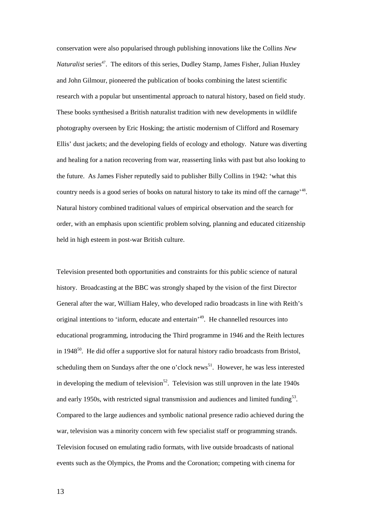conservation were also popularised through publishing innovations like the Collins *New Naturalist* series<sup>47</sup>. The editors of this series, Dudley Stamp, James Fisher, Julian Huxley and John Gilmour, pioneered the publication of books combining the latest scientific research with a popular but unsentimental approach to natural history, based on field study. These books synthesised a British naturalist tradition with new developments in wildlife photography overseen by Eric Hosking; the artistic modernism of Clifford and Rosemary Ellis' dust jackets; and the developing fields of ecology and ethology. Nature was diverting and healing for a nation recovering from war, reasserting links with past but also looking to the future. As James Fisher reputedly said to publisher Billy Collins in 1942: 'what this country needs is a good series of books on natural history to take its mind off the carnage'<sup>48</sup>. Natural history combined traditional values of empirical observation and the search for order, with an emphasis upon scientific problem solving, planning and educated citizenship held in high esteem in post-war British culture.

Television presented both opportunities and constraints for this public science of natural history. Broadcasting at the BBC was strongly shaped by the vision of the first Director General after the war, William Haley, who developed radio broadcasts in line with Reith's original intentions to 'inform, educate and entertain'<sup>49</sup>. He channelled resources into educational programming, introducing the Third programme in 1946 and the Reith lectures in 1948 $^{50}$ . He did offer a supportive slot for natural history radio broadcasts from Bristol, scheduling them on Sundays after the one o'clock news<sup>51</sup>. However, he was less interested in developing the medium of television<sup>52</sup>. Television was still unproven in the late 1940s and early 1950s, with restricted signal transmission and audiences and limited funding $5<sup>3</sup>$ . Compared to the large audiences and symbolic national presence radio achieved during the war, television was a minority concern with few specialist staff or programming strands. Television focused on emulating radio formats, with live outside broadcasts of national events such as the Olympics, the Proms and the Coronation; competing with cinema for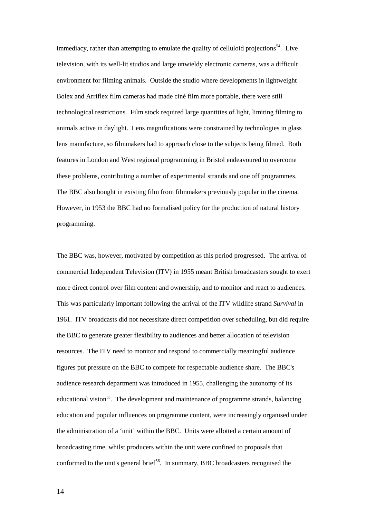immediacy, rather than attempting to emulate the quality of celluloid projections<sup>54</sup>. Live television, with its well-lit studios and large unwieldy electronic cameras, was a difficult environment for filming animals. Outside the studio where developments in lightweight Bolex and Arriflex film cameras had made ciné film more portable, there were still technological restrictions. Film stock required large quantities of light, limiting filming to animals active in daylight. Lens magnifications were constrained by technologies in glass lens manufacture, so filmmakers had to approach close to the subjects being filmed. Both features in London and West regional programming in Bristol endeavoured to overcome these problems, contributing a number of experimental strands and one off programmes. The BBC also bought in existing film from filmmakers previously popular in the cinema. However, in 1953 the BBC had no formalised policy for the production of natural history programming.

The BBC was, however, motivated by competition as this period progressed. The arrival of commercial Independent Television (ITV) in 1955 meant British broadcasters sought to exert more direct control over film content and ownership, and to monitor and react to audiences. This was particularly important following the arrival of the ITV wildlife strand *Survival* in 1961. ITV broadcasts did not necessitate direct competition over scheduling, but did require the BBC to generate greater flexibility to audiences and better allocation of television resources. The ITV need to monitor and respond to commercially meaningful audience figures put pressure on the BBC to compete for respectable audience share. The BBC's audience research department was introduced in 1955, challenging the autonomy of its educational vision<sup>55</sup>. The development and maintenance of programme strands, balancing education and popular influences on programme content, were increasingly organised under the administration of a 'unit' within the BBC. Units were allotted a certain amount of broadcasting time, whilst producers within the unit were confined to proposals that conformed to the unit's general brief<sup>56</sup>. In summary, BBC broadcasters recognised the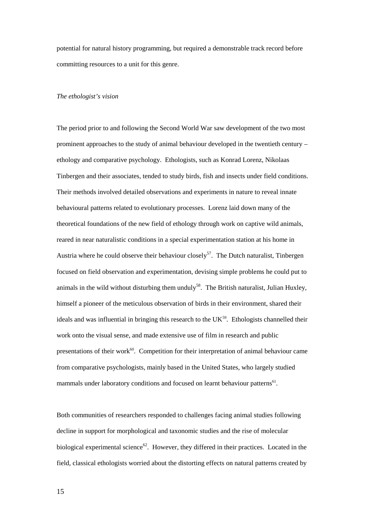potential for natural history programming, but required a demonstrable track record before committing resources to a unit for this genre.

#### *The ethologist's vision*

The period prior to and following the Second World War saw development of the two most prominent approaches to the study of animal behaviour developed in the twentieth century – ethology and comparative psychology. Ethologists, such as Konrad Lorenz, Nikolaas Tinbergen and their associates, tended to study birds, fish and insects under field conditions. Their methods involved detailed observations and experiments in nature to reveal innate behavioural patterns related to evolutionary processes. Lorenz laid down many of the theoretical foundations of the new field of ethology through work on captive wild animals, reared in near naturalistic conditions in a special experimentation station at his home in Austria where he could observe their behaviour closely<sup>57</sup>. The Dutch naturalist, Tinbergen focused on field observation and experimentation, devising simple problems he could put to animals in the wild without disturbing them unduly<sup>58</sup>. The British naturalist, Julian Huxley, himself a pioneer of the meticulous observation of birds in their environment, shared their ideals and was influential in bringing this research to the  $UK<sup>59</sup>$ . Ethologists channelled their work onto the visual sense, and made extensive use of film in research and public presentations of their work $60$ . Competition for their interpretation of animal behaviour came from comparative psychologists, mainly based in the United States, who largely studied mammals under laboratory conditions and focused on learnt behaviour patterns<sup>61</sup>.

Both communities of researchers responded to challenges facing animal studies following decline in support for morphological and taxonomic studies and the rise of molecular biological experimental science<sup>62</sup>. However, they differed in their practices. Located in the field, classical ethologists worried about the distorting effects on natural patterns created by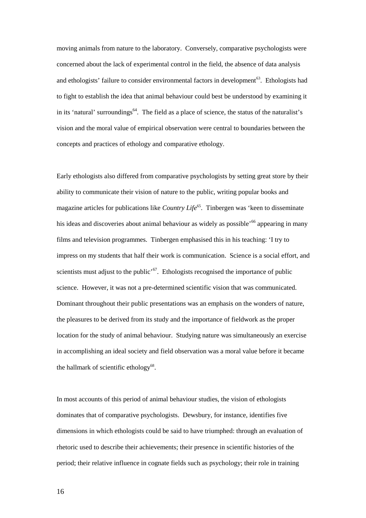moving animals from nature to the laboratory. Conversely, comparative psychologists were concerned about the lack of experimental control in the field, the absence of data analysis and ethologists' failure to consider environmental factors in development $^{63}$ . Ethologists had to fight to establish the idea that animal behaviour could best be understood by examining it in its 'natural' surroundings<sup>64</sup>. The field as a place of science, the status of the naturalist's vision and the moral value of empirical observation were central to boundaries between the concepts and practices of ethology and comparative ethology.

Early ethologists also differed from comparative psychologists by setting great store by their ability to communicate their vision of nature to the public, writing popular books and magazine articles for publications like *Country Life*<sup>65</sup>. Tinbergen was 'keen to disseminate his ideas and discoveries about animal behaviour as widely as possible<sup>566</sup> appearing in many films and television programmes. Tinbergen emphasised this in his teaching: 'I try to impress on my students that half their work is communication. Science is a social effort, and scientists must adjust to the public' $67$ . Ethologists recognised the importance of public science. However, it was not a pre-determined scientific vision that was communicated. Dominant throughout their public presentations was an emphasis on the wonders of nature, the pleasures to be derived from its study and the importance of fieldwork as the proper location for the study of animal behaviour. Studying nature was simultaneously an exercise in accomplishing an ideal society and field observation was a moral value before it became the hallmark of scientific ethology<sup>68</sup>.

In most accounts of this period of animal behaviour studies, the vision of ethologists dominates that of comparative psychologists. Dewsbury, for instance, identifies five dimensions in which ethologists could be said to have triumphed: through an evaluation of rhetoric used to describe their achievements; their presence in scientific histories of the period; their relative influence in cognate fields such as psychology; their role in training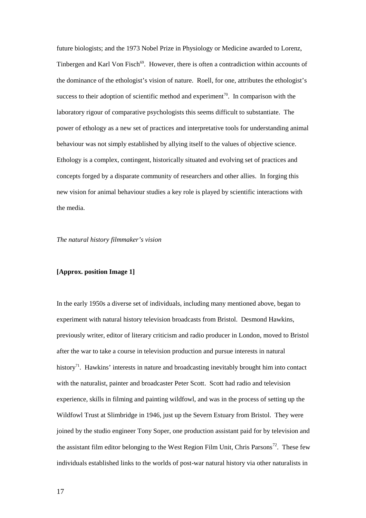future biologists; and the 1973 Nobel Prize in Physiology or Medicine awarded to Lorenz, Tinbergen and Karl Von Fisch<sup>69</sup>. However, there is often a contradiction within accounts of the dominance of the ethologist's vision of nature. Roell, for one, attributes the ethologist's success to their adoption of scientific method and experiment<sup>70</sup>. In comparison with the laboratory rigour of comparative psychologists this seems difficult to substantiate. The power of ethology as a new set of practices and interpretative tools for understanding animal behaviour was not simply established by allying itself to the values of objective science. Ethology is a complex, contingent, historically situated and evolving set of practices and concepts forged by a disparate community of researchers and other allies. In forging this new vision for animal behaviour studies a key role is played by scientific interactions with the media.

#### *The natural history filmmaker's vision*

#### **[Approx. position Image 1]**

In the early 1950s a diverse set of individuals, including many mentioned above, began to experiment with natural history television broadcasts from Bristol. Desmond Hawkins, previously writer, editor of literary criticism and radio producer in London, moved to Bristol after the war to take a course in television production and pursue interests in natural history<sup>71</sup>. Hawkins' interests in nature and broadcasting inevitably brought him into contact with the naturalist, painter and broadcaster Peter Scott. Scott had radio and television experience, skills in filming and painting wildfowl, and was in the process of setting up the Wildfowl Trust at Slimbridge in 1946, just up the Severn Estuary from Bristol. They were joined by the studio engineer Tony Soper, one production assistant paid for by television and the assistant film editor belonging to the West Region Film Unit, Chris Parsons<sup>72</sup>. These few individuals established links to the worlds of post-war natural history via other naturalists in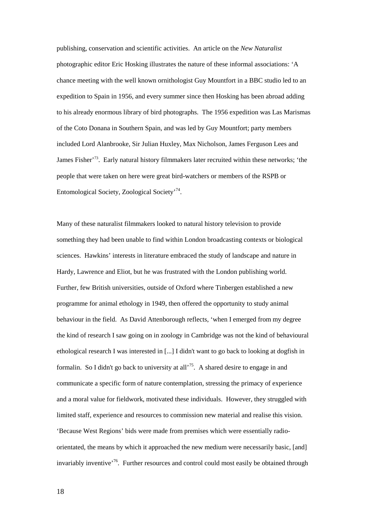publishing, conservation and scientific activities. An article on the *New Naturalist* photographic editor Eric Hosking illustrates the nature of these informal associations: 'A chance meeting with the well known ornithologist Guy Mountfort in a BBC studio led to an expedition to Spain in 1956, and every summer since then Hosking has been abroad adding to his already enormous library of bird photographs. The 1956 expedition was Las Marismas of the Coto Donana in Southern Spain, and was led by Guy Mountfort; party members included Lord Alanbrooke, Sir Julian Huxley, Max Nicholson, James Ferguson Lees and James Fisher<sup>'73</sup>. Early natural history filmmakers later recruited within these networks; 'the people that were taken on here were great bird-watchers or members of the RSPB or Entomological Society, Zoological Society<sup>, 74</sup>.

Many of these naturalist filmmakers looked to natural history television to provide something they had been unable to find within London broadcasting contexts or biological sciences. Hawkins' interests in literature embraced the study of landscape and nature in Hardy, Lawrence and Eliot, but he was frustrated with the London publishing world. Further, few British universities, outside of Oxford where Tinbergen established a new programme for animal ethology in 1949, then offered the opportunity to study animal behaviour in the field. As David Attenborough reflects, 'when I emerged from my degree the kind of research I saw going on in zoology in Cambridge was not the kind of behavioural ethological research I was interested in [...] I didn't want to go back to looking at dogfish in formalin. So I didn't go back to university at all<sup>75</sup>. A shared desire to engage in and communicate a specific form of nature contemplation, stressing the primacy of experience and a moral value for fieldwork, motivated these individuals. However, they struggled with limited staff, experience and resources to commission new material and realise this vision. 'Because West Regions' bids were made from premises which were essentially radioorientated, the means by which it approached the new medium were necessarily basic, [and] invariably inventive<sup>'76</sup>. Further resources and control could most easily be obtained through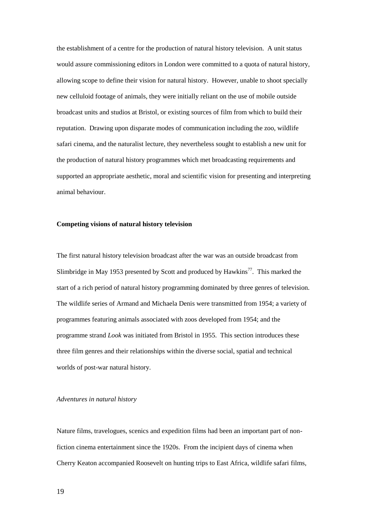the establishment of a centre for the production of natural history television. A unit status would assure commissioning editors in London were committed to a quota of natural history, allowing scope to define their vision for natural history. However, unable to shoot specially new celluloid footage of animals, they were initially reliant on the use of mobile outside broadcast units and studios at Bristol, or existing sources of film from which to build their reputation. Drawing upon disparate modes of communication including the zoo, wildlife safari cinema, and the naturalist lecture, they nevertheless sought to establish a new unit for the production of natural history programmes which met broadcasting requirements and supported an appropriate aesthetic, moral and scientific vision for presenting and interpreting animal behaviour.

#### **Competing visions of natural history television**

The first natural history television broadcast after the war was an outside broadcast from Slimbridge in May 1953 presented by Scott and produced by Hawkins<sup>77</sup>. This marked the start of a rich period of natural history programming dominated by three genres of television. The wildlife series of Armand and Michaela Denis were transmitted from 1954; a variety of programmes featuring animals associated with zoos developed from 1954; and the programme strand *Look* was initiated from Bristol in 1955. This section introduces these three film genres and their relationships within the diverse social, spatial and technical worlds of post-war natural history.

#### *Adventures in natural history*

Nature films, travelogues, scenics and expedition films had been an important part of nonfiction cinema entertainment since the 1920s. From the incipient days of cinema when Cherry Keaton accompanied Roosevelt on hunting trips to East Africa, wildlife safari films,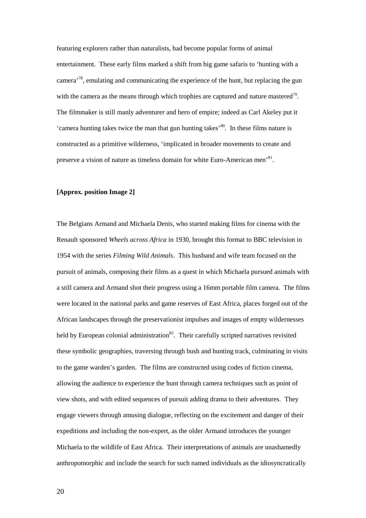featuring explorers rather than naturalists, had become popular forms of animal entertainment. These early films marked a shift from big game safaris to 'hunting with a camera<sup>78</sup>, emulating and communicating the experience of the hunt, but replacing the gun with the camera as the means through which trophies are captured and nature mastered<sup>79</sup>. The filmmaker is still manly adventurer and hero of empire; indeed as Carl Akeley put it 'camera hunting takes twice the man that gun hunting takes'<sup>80</sup>. In these films nature is constructed as a primitive wilderness, 'implicated in broader movements to create and preserve a vision of nature as timeless domain for white Euro-American men<sup>'81</sup>.

### **[Approx. position Image 2]**

The Belgians Armand and Michaela Denis, who started making films for cinema with the Renault sponsored *Wheels across Africa* in 1930, brought this format to BBC television in 1954 with the series *Filming Wild Animals*. This husband and wife team focused on the pursuit of animals, composing their films as a quest in which Michaela pursued animals with a still camera and Armand shot their progress using a 16mm portable film camera. The films were located in the national parks and game reserves of East Africa, places forged out of the African landscapes through the preservationist impulses and images of empty wildernesses held by European colonial administration<sup>82</sup>. Their carefully scripted narratives revisited these symbolic geographies, traversing through bush and hunting track, culminating in visits to the game warden's garden. The films are constructed using codes of fiction cinema, allowing the audience to experience the hunt through camera techniques such as point of view shots, and with edited sequences of pursuit adding drama to their adventures. They engage viewers through amusing dialogue, reflecting on the excitement and danger of their expeditions and including the non-expert, as the older Armand introduces the younger Michaela to the wildlife of East Africa. Their interpretations of animals are unashamedly anthropomorphic and include the search for such named individuals as the idiosyncratically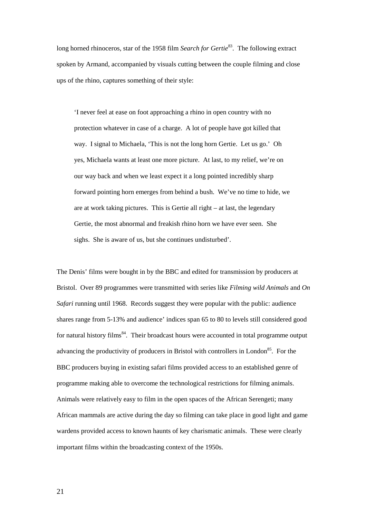long horned rhinoceros, star of the 1958 film *Search for Gertie*<sup>83</sup>. The following extract spoken by Armand, accompanied by visuals cutting between the couple filming and close ups of the rhino, captures something of their style:

'I never feel at ease on foot approaching a rhino in open country with no protection whatever in case of a charge. A lot of people have got killed that way. I signal to Michaela, 'This is not the long horn Gertie. Let us go.' Oh yes, Michaela wants at least one more picture. At last, to my relief, we're on our way back and when we least expect it a long pointed incredibly sharp forward pointing horn emerges from behind a bush. We've no time to hide, we are at work taking pictures. This is Gertie all right – at last, the legendary Gertie, the most abnormal and freakish rhino horn we have ever seen. She sighs. She is aware of us, but she continues undisturbed'.

The Denis' films were bought in by the BBC and edited for transmission by producers at Bristol. Over 89 programmes were transmitted with series like *Filming wild Animals* and *On Safari* running until 1968. Records suggest they were popular with the public: audience shares range from 5-13% and audience' indices span 65 to 80 to levels still considered good for natural history films<sup>84</sup>. Their broadcast hours were accounted in total programme output advancing the productivity of producers in Bristol with controllers in London<sup>85</sup>. For the BBC producers buying in existing safari films provided access to an established genre of programme making able to overcome the technological restrictions for filming animals. Animals were relatively easy to film in the open spaces of the African Serengeti; many African mammals are active during the day so filming can take place in good light and game wardens provided access to known haunts of key charismatic animals. These were clearly important films within the broadcasting context of the 1950s.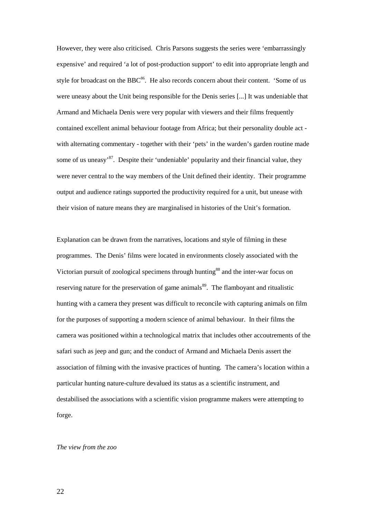However, they were also criticised. Chris Parsons suggests the series were 'embarrassingly expensive' and required 'a lot of post-production support' to edit into appropriate length and style for broadcast on the BBC $86$ . He also records concern about their content. 'Some of us were uneasy about the Unit being responsible for the Denis series [...] It was undeniable that Armand and Michaela Denis were very popular with viewers and their films frequently contained excellent animal behaviour footage from Africa; but their personality double act with alternating commentary - together with their 'pets' in the warden's garden routine made some of us uneasy<sup>87</sup>. Despite their 'undeniable' popularity and their financial value, they were never central to the way members of the Unit defined their identity. Their programme output and audience ratings supported the productivity required for a unit, but unease with their vision of nature means they are marginalised in histories of the Unit's formation.

Explanation can be drawn from the narratives, locations and style of filming in these programmes. The Denis' films were located in environments closely associated with the Victorian pursuit of zoological specimens through hunting<sup>88</sup> and the inter-war focus on reserving nature for the preservation of game animals<sup>89</sup>. The flamboyant and ritualistic hunting with a camera they present was difficult to reconcile with capturing animals on film for the purposes of supporting a modern science of animal behaviour. In their films the camera was positioned within a technological matrix that includes other accoutrements of the safari such as jeep and gun; and the conduct of Armand and Michaela Denis assert the association of filming with the invasive practices of hunting. The camera's location within a particular hunting nature-culture devalued its status as a scientific instrument, and destabilised the associations with a scientific vision programme makers were attempting to forge.

#### *The view from the zoo*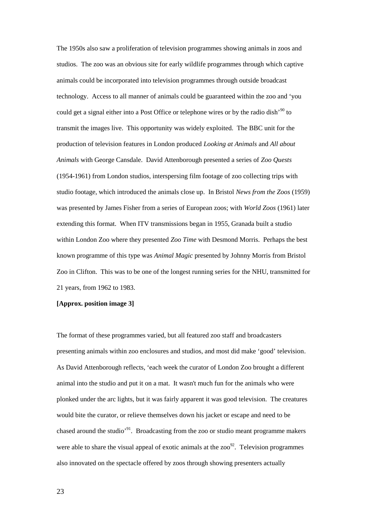The 1950s also saw a proliferation of television programmes showing animals in zoos and studios. The zoo was an obvious site for early wildlife programmes through which captive animals could be incorporated into television programmes through outside broadcast technology. Access to all manner of animals could be guaranteed within the zoo and 'you could get a signal either into a Post Office or telephone wires or by the radio dish<sup>'90</sup> to transmit the images live. This opportunity was widely exploited. The BBC unit for the production of television features in London produced *Looking at Animals* and *All about Animals* with George Cansdale. David Attenborough presented a series of *Zoo Quests* (1954-1961) from London studios, interspersing film footage of zoo collecting trips with studio footage, which introduced the animals close up. In Bristol *News from the Zoos* (1959) was presented by James Fisher from a series of European zoos; with *World Zoos* (1961) later extending this format. When ITV transmissions began in 1955, Granada built a studio within London Zoo where they presented *Zoo Time* with Desmond Morris. Perhaps the best known programme of this type was *Animal Magic* presented by Johnny Morris from Bristol Zoo in Clifton. This was to be one of the longest running series for the NHU, transmitted for 21 years, from 1962 to 1983.

### **[Approx. position image 3]**

The format of these programmes varied, but all featured zoo staff and broadcasters presenting animals within zoo enclosures and studios, and most did make 'good' television. As David Attenborough reflects, 'each week the curator of London Zoo brought a different animal into the studio and put it on a mat. It wasn't much fun for the animals who were plonked under the arc lights, but it was fairly apparent it was good television. The creatures would bite the curator, or relieve themselves down his jacket or escape and need to be chased around the studio'<sup>91</sup>. Broadcasting from the zoo or studio meant programme makers were able to share the visual appeal of exotic animals at the  $zoo<sup>92</sup>$ . Television programmes also innovated on the spectacle offered by zoos through showing presenters actually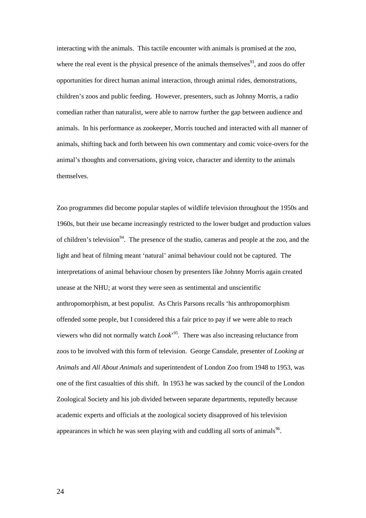interacting with the animals. This tactile encounter with animals is promised at the zoo, where the real event is the physical presence of the animals themselves<sup>93</sup>, and zoos do offer opportunities for direct human animal interaction, through animal rides, demonstrations, children's zoos and public feeding. However, presenters, such as Johnny Morris, a radio comedian rather than naturalist, were able to narrow further the gap between audience and animals. In his performance as zookeeper, Morris touched and interacted with all manner of animals, shifting back and forth between his own commentary and comic voice-overs for the animal's thoughts and conversations, giving voice, character and identity to the animals themselves.

Zoo programmes did become popular staples of wildlife television throughout the 1950s and 1960s, but their use became increasingly restricted to the lower budget and production values of children's television<sup>94</sup>. The presence of the studio, cameras and people at the zoo, and the light and heat of filming meant 'natural' animal behaviour could not be captured. The interpretations of animal behaviour chosen by presenters like Johnny Morris again created unease at the NHU; at worst they were seen as sentimental and unscientific anthropomorphism, at best populist. As Chris Parsons recalls 'his anthropomorphism offended some people, but I considered this a fair price to pay if we were able to reach viewers who did not normally watch *Look*' <sup>95</sup>. There was also increasing reluctance from zoos to be involved with this form of television. George Cansdale, presenter of *Looking at Animals* and *All About Animals* and superintendent of London Zoo from 1948 to 1953, was one of the first casualties of this shift. In 1953 he was sacked by the council of the London Zoological Society and his job divided between separate departments, reputedly because academic experts and officials at the zoological society disapproved of his television appearances in which he was seen playing with and cuddling all sorts of animals<sup>96</sup>.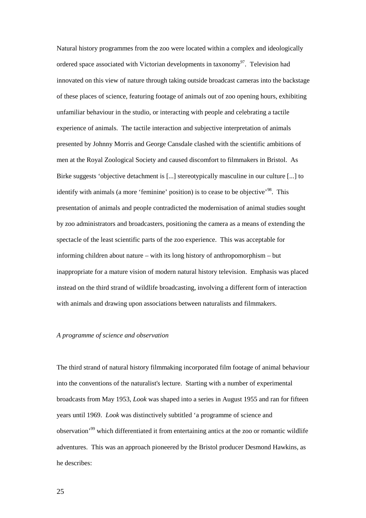Natural history programmes from the zoo were located within a complex and ideologically ordered space associated with Victorian developments in taxonomy<sup>97</sup>. Television had innovated on this view of nature through taking outside broadcast cameras into the backstage of these places of science, featuring footage of animals out of zoo opening hours, exhibiting unfamiliar behaviour in the studio, or interacting with people and celebrating a tactile experience of animals. The tactile interaction and subjective interpretation of animals presented by Johnny Morris and George Cansdale clashed with the scientific ambitions of men at the Royal Zoological Society and caused discomfort to filmmakers in Bristol. As Birke suggests 'objective detachment is [...] stereotypically masculine in our culture [...] to identify with animals (a more 'feminine' position) is to cease to be objective<sup> $98$ </sup>. This presentation of animals and people contradicted the modernisation of animal studies sought by zoo administrators and broadcasters, positioning the camera as a means of extending the spectacle of the least scientific parts of the zoo experience. This was acceptable for informing children about nature – with its long history of anthropomorphism – but inappropriate for a mature vision of modern natural history television. Emphasis was placed instead on the third strand of wildlife broadcasting, involving a different form of interaction with animals and drawing upon associations between naturalists and filmmakers.

### *A programme of science and observation*

The third strand of natural history filmmaking incorporated film footage of animal behaviour into the conventions of the naturalist's lecture. Starting with a number of experimental broadcasts from May 1953, *Look* was shaped into a series in August 1955 and ran for fifteen years until 1969. *Look* was distinctively subtitled 'a programme of science and observation'<sup>99</sup> which differentiated it from entertaining antics at the zoo or romantic wildlife adventures. This was an approach pioneered by the Bristol producer Desmond Hawkins, as he describes: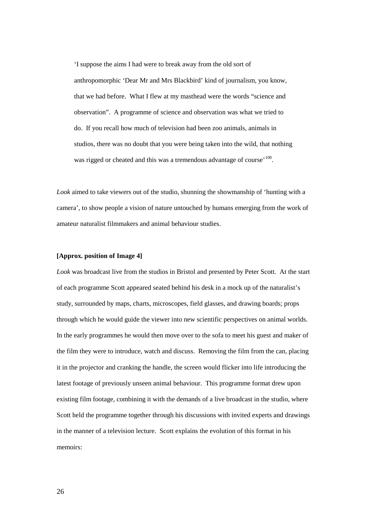'I suppose the aims I had were to break away from the old sort of anthropomorphic 'Dear Mr and Mrs Blackbird' kind of journalism, you know, that we had before. What I flew at my masthead were the words "science and observation". A programme of science and observation was what we tried to do. If you recall how much of television had been zoo animals, animals in studios, there was no doubt that you were being taken into the wild, that nothing was rigged or cheated and this was a tremendous advantage of course'<sup>100</sup>.

*Look* aimed to take viewers out of the studio, shunning the showmanship of 'hunting with a camera', to show people a vision of nature untouched by humans emerging from the work of amateur naturalist filmmakers and animal behaviour studies.

### **[Approx. position of Image 4]**

*Look* was broadcast live from the studios in Bristol and presented by Peter Scott. At the start of each programme Scott appeared seated behind his desk in a mock up of the naturalist's study, surrounded by maps, charts, microscopes, field glasses, and drawing boards; props through which he would guide the viewer into new scientific perspectives on animal worlds. In the early programmes he would then move over to the sofa to meet his guest and maker of the film they were to introduce, watch and discuss. Removing the film from the can, placing it in the projector and cranking the handle, the screen would flicker into life introducing the latest footage of previously unseen animal behaviour. This programme format drew upon existing film footage, combining it with the demands of a live broadcast in the studio, where Scott held the programme together through his discussions with invited experts and drawings in the manner of a television lecture. Scott explains the evolution of this format in his memoirs: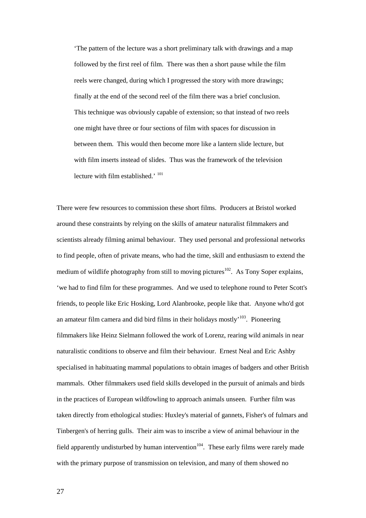'The pattern of the lecture was a short preliminary talk with drawings and a map followed by the first reel of film. There was then a short pause while the film reels were changed, during which I progressed the story with more drawings; finally at the end of the second reel of the film there was a brief conclusion. This technique was obviously capable of extension; so that instead of two reels one might have three or four sections of film with spaces for discussion in between them. This would then become more like a lantern slide lecture, but with film inserts instead of slides. Thus was the framework of the television lecture with film established.' <sup>101</sup>

There were few resources to commission these short films. Producers at Bristol worked around these constraints by relying on the skills of amateur naturalist filmmakers and scientists already filming animal behaviour. They used personal and professional networks to find people, often of private means, who had the time, skill and enthusiasm to extend the medium of wildlife photography from still to moving pictures<sup>102</sup>. As Tony Soper explains, 'we had to find film for these programmes. And we used to telephone round to Peter Scott's friends, to people like Eric Hosking, Lord Alanbrooke, people like that. Anyone who'd got an amateur film camera and did bird films in their holidays mostly<sup> $103$ </sup>. Pioneering filmmakers like Heinz Sielmann followed the work of Lorenz, rearing wild animals in near naturalistic conditions to observe and film their behaviour. Ernest Neal and Eric Ashby specialised in habituating mammal populations to obtain images of badgers and other British mammals. Other filmmakers used field skills developed in the pursuit of animals and birds in the practices of European wildfowling to approach animals unseen. Further film was taken directly from ethological studies: Huxley's material of gannets, Fisher's of fulmars and Tinbergen's of herring gulls. Their aim was to inscribe a view of animal behaviour in the field apparently undisturbed by human intervention<sup> $104$ </sup>. These early films were rarely made with the primary purpose of transmission on television, and many of them showed no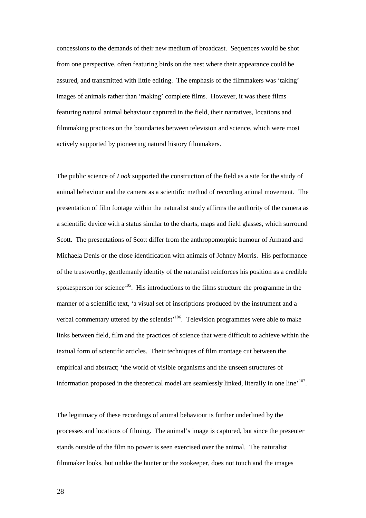concessions to the demands of their new medium of broadcast. Sequences would be shot from one perspective, often featuring birds on the nest where their appearance could be assured, and transmitted with little editing. The emphasis of the filmmakers was 'taking' images of animals rather than 'making' complete films. However, it was these films featuring natural animal behaviour captured in the field, their narratives, locations and filmmaking practices on the boundaries between television and science, which were most actively supported by pioneering natural history filmmakers.

The public science of *Look* supported the construction of the field as a site for the study of animal behaviour and the camera as a scientific method of recording animal movement. The presentation of film footage within the naturalist study affirms the authority of the camera as a scientific device with a status similar to the charts, maps and field glasses, which surround Scott. The presentations of Scott differ from the anthropomorphic humour of Armand and Michaela Denis or the close identification with animals of Johnny Morris. His performance of the trustworthy, gentlemanly identity of the naturalist reinforces his position as a credible spokesperson for science<sup>105</sup>. His introductions to the films structure the programme in the manner of a scientific text, 'a visual set of inscriptions produced by the instrument and a verbal commentary uttered by the scientist<sup> $106$ </sup>. Television programmes were able to make links between field, film and the practices of science that were difficult to achieve within the textual form of scientific articles. Their techniques of film montage cut between the empirical and abstract; 'the world of visible organisms and the unseen structures of information proposed in the theoretical model are seamlessly linked, literally in one line<sup> $107$ </sup>.

The legitimacy of these recordings of animal behaviour is further underlined by the processes and locations of filming. The animal's image is captured, but since the presenter stands outside of the film no power is seen exercised over the animal. The naturalist filmmaker looks, but unlike the hunter or the zookeeper, does not touch and the images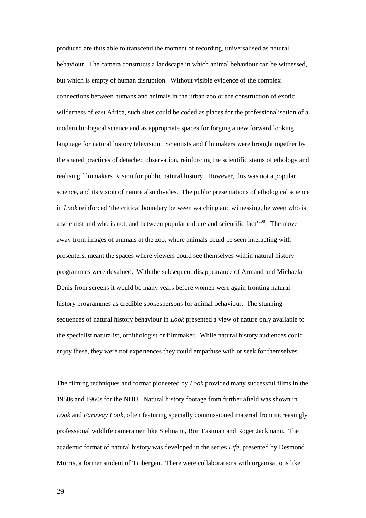produced are thus able to transcend the moment of recording, universalised as natural behaviour. The camera constructs a landscape in which animal behaviour can be witnessed, but which is empty of human disruption. Without visible evidence of the complex connections between humans and animals in the urban zoo or the construction of exotic wilderness of east Africa, such sites could be coded as places for the professionalisation of a modern biological science and as appropriate spaces for forging a new forward looking language for natural history television. Scientists and filmmakers were brought together by the shared practices of detached observation, reinforcing the scientific status of ethology and realising filmmakers' vision for public natural history. However, this was not a popular science, and its vision of nature also divides. The public presentations of ethological science in *Look* reinforced 'the critical boundary between watching and witnessing, between who is a scientist and who is not, and between popular culture and scientific fact<sup>108</sup>. The move away from images of animals at the zoo, where animals could be seen interacting with presenters, meant the spaces where viewers could see themselves within natural history programmes were devalued. With the subsequent disappearance of Armand and Michaela Denis from screens it would be many years before women were again fronting natural history programmes as credible spokespersons for animal behaviour. The stunning sequences of natural history behaviour in *Look* presented a view of nature only available to the specialist naturalist, ornithologist or filmmaker. While natural history audiences could enjoy these, they were not experiences they could empathise with or seek for themselves.

The filming techniques and format pioneered by *Look* provided many successful films in the 1950s and 1960s for the NHU. Natural history footage from further afield was shown in *Look* and *Faraway Look*, often featuring specially commissioned material from increasingly professional wildlife cameramen like Sielmann, Ron Eastman and Roger Jackmann. The academic format of natural history was developed in the series *Life*, presented by Desmond Morris, a former student of Tinbergen. There were collaborations with organisations like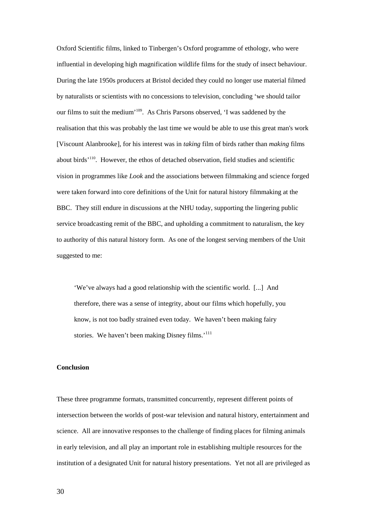Oxford Scientific films, linked to Tinbergen's Oxford programme of ethology, who were influential in developing high magnification wildlife films for the study of insect behaviour. During the late 1950s producers at Bristol decided they could no longer use material filmed by naturalists or scientists with no concessions to television, concluding 'we should tailor our films to suit the medium'<sup>109</sup>. As Chris Parsons observed, 'I was saddened by the realisation that this was probably the last time we would be able to use this great man's work [Viscount Alanbrooke], for his interest was in *taking* film of birds rather than *making* films about birds'<sup>110</sup>. However, the ethos of detached observation, field studies and scientific vision in programmes like *Look* and the associations between filmmaking and science forged were taken forward into core definitions of the Unit for natural history filmmaking at the BBC. They still endure in discussions at the NHU today, supporting the lingering public service broadcasting remit of the BBC, and upholding a commitment to naturalism, the key to authority of this natural history form. As one of the longest serving members of the Unit suggested to me:

'We've always had a good relationship with the scientific world. [...] And therefore, there was a sense of integrity, about our films which hopefully, you know, is not too badly strained even today. We haven't been making fairy stories. We haven't been making Disney films.<sup>'111</sup>

### **Conclusion**

These three programme formats, transmitted concurrently, represent different points of intersection between the worlds of post-war television and natural history, entertainment and science. All are innovative responses to the challenge of finding places for filming animals in early television, and all play an important role in establishing multiple resources for the institution of a designated Unit for natural history presentations. Yet not all are privileged as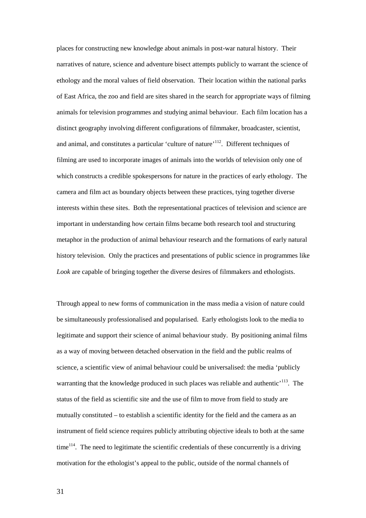places for constructing new knowledge about animals in post-war natural history. Their narratives of nature, science and adventure bisect attempts publicly to warrant the science of ethology and the moral values of field observation. Their location within the national parks of East Africa, the zoo and field are sites shared in the search for appropriate ways of filming animals for television programmes and studying animal behaviour. Each film location has a distinct geography involving different configurations of filmmaker, broadcaster, scientist, and animal, and constitutes a particular 'culture of nature'<sup>112</sup>. Different techniques of filming are used to incorporate images of animals into the worlds of television only one of which constructs a credible spokespersons for nature in the practices of early ethology. The camera and film act as boundary objects between these practices, tying together diverse interests within these sites. Both the representational practices of television and science are important in understanding how certain films became both research tool and structuring metaphor in the production of animal behaviour research and the formations of early natural history television. Only the practices and presentations of public science in programmes like *Look* are capable of bringing together the diverse desires of filmmakers and ethologists.

Through appeal to new forms of communication in the mass media a vision of nature could be simultaneously professionalised and popularised. Early ethologists look to the media to legitimate and support their science of animal behaviour study. By positioning animal films as a way of moving between detached observation in the field and the public realms of science, a scientific view of animal behaviour could be universalised: the media 'publicly warranting that the knowledge produced in such places was reliable and authentic<sup> $113$ </sup>. The status of the field as scientific site and the use of film to move from field to study are mutually constituted – to establish a scientific identity for the field and the camera as an instrument of field science requires publicly attributing objective ideals to both at the same  $time<sup>114</sup>$ . The need to legitimate the scientific credentials of these concurrently is a driving motivation for the ethologist's appeal to the public, outside of the normal channels of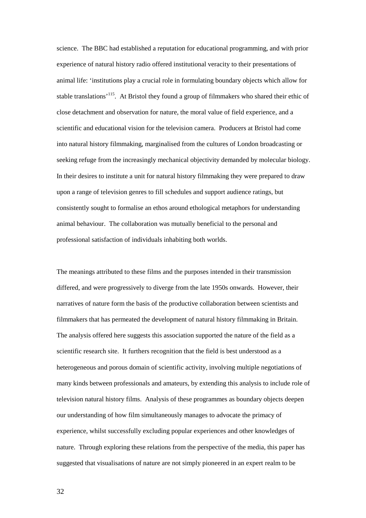science. The BBC had established a reputation for educational programming, and with prior experience of natural history radio offered institutional veracity to their presentations of animal life: 'institutions play a crucial role in formulating boundary objects which allow for stable translations<sup>'115</sup>. At Bristol they found a group of filmmakers who shared their ethic of close detachment and observation for nature, the moral value of field experience, and a scientific and educational vision for the television camera. Producers at Bristol had come into natural history filmmaking, marginalised from the cultures of London broadcasting or seeking refuge from the increasingly mechanical objectivity demanded by molecular biology. In their desires to institute a unit for natural history filmmaking they were prepared to draw upon a range of television genres to fill schedules and support audience ratings, but consistently sought to formalise an ethos around ethological metaphors for understanding animal behaviour. The collaboration was mutually beneficial to the personal and professional satisfaction of individuals inhabiting both worlds.

The meanings attributed to these films and the purposes intended in their transmission differed, and were progressively to diverge from the late 1950s onwards. However, their narratives of nature form the basis of the productive collaboration between scientists and filmmakers that has permeated the development of natural history filmmaking in Britain. The analysis offered here suggests this association supported the nature of the field as a scientific research site. It furthers recognition that the field is best understood as a heterogeneous and porous domain of scientific activity, involving multiple negotiations of many kinds between professionals and amateurs, by extending this analysis to include role of television natural history films. Analysis of these programmes as boundary objects deepen our understanding of how film simultaneously manages to advocate the primacy of experience, whilst successfully excluding popular experiences and other knowledges of nature. Through exploring these relations from the perspective of the media, this paper has suggested that visualisations of nature are not simply pioneered in an expert realm to be

32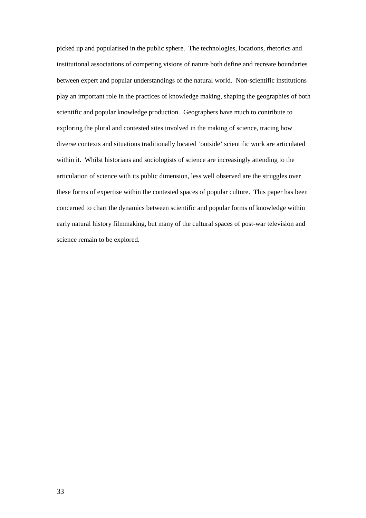picked up and popularised in the public sphere. The technologies, locations, rhetorics and institutional associations of competing visions of nature both define and recreate boundaries between expert and popular understandings of the natural world. Non-scientific institutions play an important role in the practices of knowledge making, shaping the geographies of both scientific and popular knowledge production. Geographers have much to contribute to exploring the plural and contested sites involved in the making of science, tracing how diverse contexts and situations traditionally located 'outside' scientific work are articulated within it. Whilst historians and sociologists of science are increasingly attending to the articulation of science with its public dimension, less well observed are the struggles over these forms of expertise within the contested spaces of popular culture. This paper has been concerned to chart the dynamics between scientific and popular forms of knowledge within early natural history filmmaking, but many of the cultural spaces of post-war television and science remain to be explored.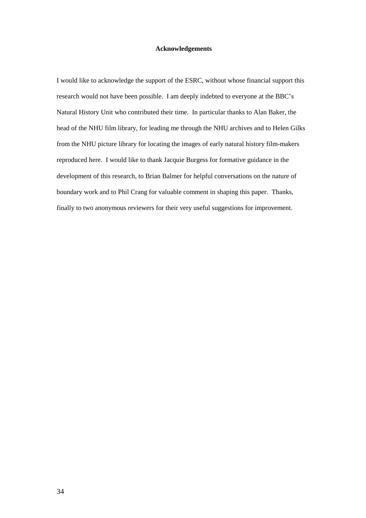### **Acknowledgements**

I would like to acknowledge the support of the ESRC, without whose financial support this research would not have been possible. I am deeply indebted to everyone at the BBC's Natural History Unit who contributed their time. In particular thanks to Alan Baker, the head of the NHU film library, for leading me through the NHU archives and to Helen Gilks from the NHU picture library for locating the images of early natural history film-makers reproduced here. I would like to thank Jacquie Burgess for formative guidance in the development of this research, to Brian Balmer for helpful conversations on the nature of boundary work and to Phil Crang for valuable comment in shaping this paper. Thanks, finally to two anonymous reviewers for their very useful suggestions for improvement.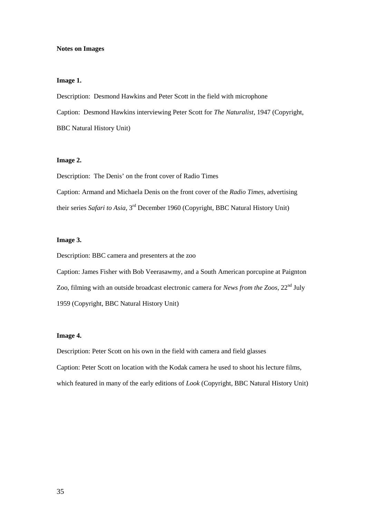#### **Notes on Images**

### **Image 1.**

Description: Desmond Hawkins and Peter Scott in the field with microphone Caption: Desmond Hawkins interviewing Peter Scott for *The Naturalist*, 1947 (Copyright, BBC Natural History Unit)

### **Image 2.**

Description: The Denis' on the front cover of Radio Times Caption: Armand and Michaela Denis on the front cover of the *Radio Times*, advertising their series *Safari to Asia*, 3rd December 1960 (Copyright, BBC Natural History Unit)

### **Image 3.**

Description: BBC camera and presenters at the zoo

Caption: James Fisher with Bob Veerasawmy, and a South American porcupine at Paignton Zoo, filming with an outside broadcast electronic camera for *News from the Zoos*, 22nd July 1959 (Copyright, BBC Natural History Unit)

## **Image 4.**

Description: Peter Scott on his own in the field with camera and field glasses Caption: Peter Scott on location with the Kodak camera he used to shoot his lecture films, which featured in many of the early editions of *Look* (Copyright, BBC Natural History Unit)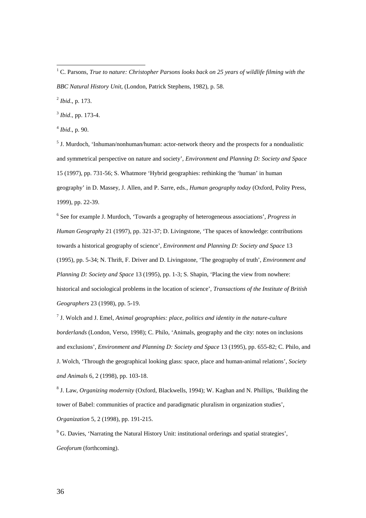2 *Ibid*., p. 173.

3 *Ibid*.*,* pp. 173-4.

4 *Ibid*., p. 90.

<sup>5</sup> J. Murdoch, 'Inhuman/nonhuman/human: actor-network theory and the prospects for a nondualistic and symmetrical perspective on nature and society', *Environment and Planning D: Society and Space* 15 (1997), pp. 731-56; S. Whatmore 'Hybrid geographies: rethinking the 'human' in human geography' in D. Massey, J. Allen, and P. Sarre, eds., *Human geography today* (Oxford, Polity Press, 1999), pp. 22-39.

6 See for example J. Murdoch, 'Towards a geography of heterogeneous associations', *Progress in Human Geography* 21 (1997), pp. 321-37; D. Livingstone, 'The spaces of knowledge: contributions towards a historical geography of science', *Environment and Planning D: Society and Space* 13 (1995), pp. 5-34; N. Thrift, F. Driver and D. Livingstone, 'The geography of truth', *Environment and Planning D: Society and Space* 13 (1995), pp. 1-3; S. Shapin, 'Placing the view from nowhere: historical and sociological problems in the location of science', *Transactions of the Institute of British Geographers* 23 (1998), pp. 5-19.

7 J. Wolch and J. Emel, *Animal geographies: place, politics and identity in the nature-culture borderlands* (London, Verso, 1998); C. Philo, 'Animals, geography and the city: notes on inclusions and exclusions', *Environment and Planning D: Society and Space* 13 (1995), pp. 655-82; C. Philo, and J. Wolch, 'Through the geographical looking glass: space, place and human-animal relations', *Society and Animals* 6, 2 (1998), pp. 103-18.

8 J. Law, *Organizing modernity* (Oxford, Blackwells, 1994); W. Kaghan and N. Phillips, 'Building the tower of Babel: communities of practice and paradigmatic pluralism in organization studies', *Organization* 5, 2 (1998), pp. 191-215.

<sup>9</sup> G. Davies, 'Narrating the Natural History Unit: institutional orderings and spatial strategies', *Geoforum* (forthcoming).

<sup>1</sup> C. Parsons, *True to nature: Christopher Parsons looks back on 25 years of wildlife filming with the BBC Natural History Unit*, (London, Patrick Stephens, 1982), p. 58.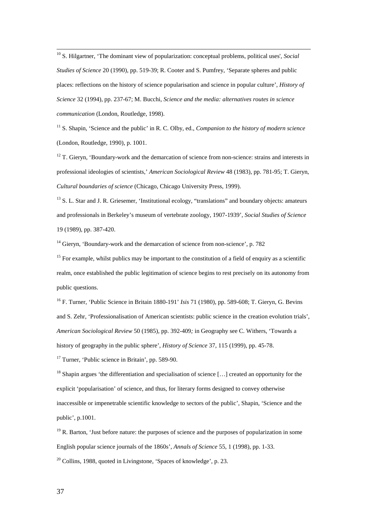<sup>10</sup> S. Hilgartner, 'The dominant view of popularization: conceptual problems, political uses', *Social Studies of Science* 20 (1990), pp. 519-39; R. Cooter and S. Pumfrey, 'Separate spheres and public places: reflections on the history of science popularisation and science in popular culture', *History of Science* 32 (1994), pp. 237-67; M. Bucchi, *Science and the media: alternatives routes in science communication* (London, Routledge, 1998).

<sup>11</sup> S. Shapin, 'Science and the public' in R. C. Olby, ed., *Companion to the history of modern science* (London, Routledge, 1990), p. 1001.

 $12$  T. Gieryn, 'Boundary-work and the demarcation of science from non-science: strains and interests in professional ideologies of scientists,' *American Sociological Review* 48 (1983), pp. 781-95; T. Gieryn, *Cultural boundaries of science* (Chicago, Chicago University Press, 1999).

<sup>13</sup> S. L. Star and J. R. Griesemer, 'Institutional ecology, "translations" and boundary objects: amateurs and professionals in Berkeley's museum of vertebrate zoology, 1907-1939', *Social Studies of Science* 19 (1989), pp. 387-420.

<sup>14</sup> Gieryn, 'Boundary-work and the demarcation of science from non-science', p. 782

 $15$  For example, whilst publics may be important to the constitution of a field of enquiry as a scientific realm, once established the public legitimation of science begins to rest precisely on its autonomy from public questions.

<sup>16</sup> F. Turner, 'Public Science in Britain 1880-191' *Isis* 71 (1980), pp. 589-608; T. Gieryn, G. Bevins and S. Zehr, 'Professionalisation of American scientists: public science in the creation evolution trials', *American Sociological Review* 50 (1985), pp. 392-409*;* in Geography see C. Withers, 'Towards a history of geography in the public sphere', *History of Science* 37, 115 (1999), pp. 45-78.

<sup>17</sup> Turner, 'Public science in Britain', pp. 589-90.

<sup>18</sup> Shapin argues 'the differentiation and specialisation of science [...] created an opportunity for the explicit 'popularisation' of science, and thus, for literary forms designed to convey otherwise inaccessible or impenetrable scientific knowledge to sectors of the public', Shapin, 'Science and the public', p.1001.

 $19$  R. Barton, 'Just before nature: the purposes of science and the purposes of popularization in some English popular science journals of the 1860s', *Annals of Science* 55, 1 (1998), pp. 1-33.  $20$  Collins, 1988, quoted in Livingstone, 'Spaces of knowledge', p. 23.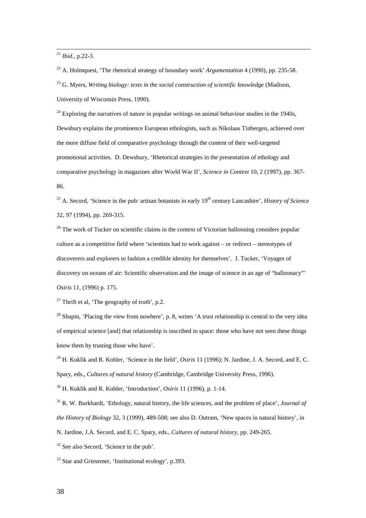<sup>21</sup> *Ibid.*, p.22-3.

<sup>22</sup> A. Holmquest, 'The rhetorical strategy of boundary work' *Argumentation* 4 (1990), pp. 235-58.

<sup>23</sup> G. Myers, *Writing biology: texts in the social construction of scientific knowledge* (Madison, University of Wisconsin Press, 1990).

 $^{24}$  Exploring the narratives of nature in popular writings on animal behaviour studies in the 1940s, Dewsbury explains the prominence European ethologists, such as Nikolaas Tinbergen, achieved over the more diffuse field of comparative psychology through the content of their well-targeted promotional activities. D. Dewsbury, 'Rhetorical strategies in the presentation of ethology and comparative psychology in magazines after World War II', *Science in Context* 10, 2 (1997), pp. 367- 86.

<sup>25</sup> A. Secord, 'Science in the pub: artisan botanists in early 19<sup>th</sup> century Lancashire', *History of Science* 32, 97 (1994), pp. 269-315.

 $26$  The work of Tucker on scientific claims in the context of Victorian ballooning considers popular culture as a competitive field where 'scientists had to work against – or redirect – stereotypes of discoverers and explorers to fashion a credible identity for themselves'. J. Tucker, 'Voyages of discovery on oceans of air: Scientific observation and the image of science in an age of "balloonacy"' *Osiris* 11, (1996) p. 175.

<sup>27</sup> Thrift et al, 'The geography of truth', p.2.

<sup>28</sup> Shapin, 'Placing the view from nowhere', p. 8, writes 'A trust relationship is central to the very idea of empirical science [and] that relationship is inscribed in space: those who have not seen these things know them by trusting those who have'.

<sup>29</sup> H. Kuklik and R. Kohler, 'Science in the field'*, Osiris* 11 (1996); N. Jardine, J. A. Secord, and E. C. Spary, eds., *Cultures of natural history* (Cambridge, Cambridge University Press, 1996).

<sup>30</sup> H. Kuklik and R. Kohler, 'Introduction', *Osiris* 11 (1996), p. 1-14.

<sup>31</sup> R. W. Burkhardt, 'Ethology, natural history, the life sciences, and the problem of place', *Journal of the History of Biology* 32, 3 (1999), 489-508; see also D. Outram, 'New spaces in natural history', in N. Jardine, J.A. Secord, and E. C. Spary, eds., *Cultures of natural history*, pp. 249-265.

 $32$  See also Secord, 'Science in the pub'.

<sup>33</sup> Star and Griesemer, 'Institutional ecology', p.393.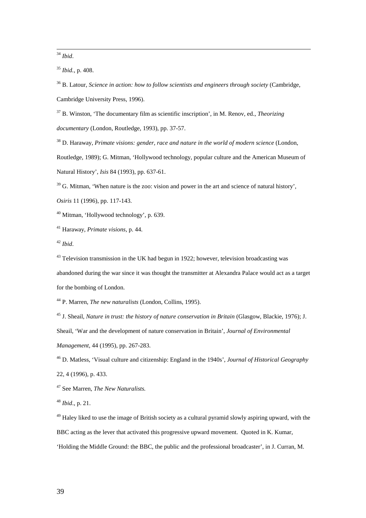<sup>34</sup> *Ibid*.

<sup>35</sup> *Ibid.*, p. 408.

<sup>36</sup> B. Latour, *Science in action: how to follow scientists and engineers through society* (Cambridge, Cambridge University Press, 1996).

<sup>37</sup> B. Winston, 'The documentary film as scientific inscription', in M. Renov, ed., *Theorizing documentary* (London, Routledge, 1993), pp. 37-57.

<sup>38</sup> D. Haraway, *Primate visions: gender, race and nature in the world of modern science* (London,

Routledge, 1989); G. Mitman, 'Hollywood technology, popular culture and the American Museum of

Natural History', *Isis* 84 (1993), pp. 637-61.

 $39$  G. Mitman, 'When nature is the zoo: vision and power in the art and science of natural history',

*Osiris* 11 (1996), pp. 117-143.

<sup>40</sup> Mitman, 'Hollywood technology', p. 639.

<sup>41</sup> Haraway, *Primate visions*, p. 44.

<sup>42</sup> *Ibid*.

 $43$  Television transmission in the UK had begun in 1922; however, television broadcasting was abandoned during the war since it was thought the transmitter at Alexandra Palace would act as a target for the bombing of London.

<sup>44</sup> P. Marren, *The new naturalists* (London, Collins, 1995).

<sup>45</sup> J. Sheail, *Nature in trust: the history of nature conservation in Britain* (Glasgow, Blackie, 1976); J.

Sheail, 'War and the development of nature conservation in Britain', *Journal of Environmental*

*Management,* 44 (1995), pp. 267-283.

<sup>46</sup> D. Matless, 'Visual culture and citizenship: England in the 1940s', *Journal of Historical Geography* 22, 4 (1996), p. 433.

<sup>47</sup> See Marren, *The New Naturalists.*

<sup>48</sup> *Ibid*., p. 21.

 $49$  Haley liked to use the image of British society as a cultural pyramid slowly aspiring upward, with the BBC acting as the lever that activated this progressive upward movement. Quoted in K. Kumar, 'Holding the Middle Ground: the BBC, the public and the professional broadcaster', in J. Curran, M.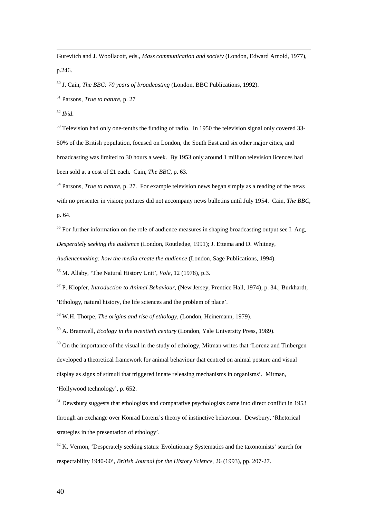Gurevitch and J. Woollacott, eds., *Mass communication and society* (London, Edward Arnold, 1977), p.246.

<sup>50</sup> J. Cain, *The BBC: 70 years of broadcasting* (London, BBC Publications, 1992).

<sup>51</sup> Parsons, *True to nature*, p. 27

<sup>52</sup> *Ibid*.

<sup>53</sup> Television had only one-tenths the funding of radio. In 1950 the television signal only covered 33-50% of the British population, focused on London, the South East and six other major cities, and broadcasting was limited to 30 hours a week. By 1953 only around 1 million television licences had been sold at a cost of £1 each. Cain, *The BBC*, p. 63.

<sup>54</sup> Parsons, *True to nature,* p. 27. For example television news began simply as a reading of the news with no presenter in vision; pictures did not accompany news bulletins until July 1954. Cain, *The BBC*, p. 64.

 $55$  For further information on the role of audience measures in shaping broadcasting output see I. Ang, *Desperately seeking the audience* (London, Routledge, 1991); J. Ettema and D. Whitney,

*Audiencemaking: how the media create the audience* (London, Sage Publications, 1994).

<sup>56</sup> M. Allaby, 'The Natural History Unit', *Vole*, 12 (1978), p.3.

<sup>57</sup> P. Klopfer, *Introduction to Animal Behaviour*, (New Jersey, Prentice Hall, 1974), p. 34.; Burkhardt, 'Ethology, natural history, the life sciences and the problem of place'.

<sup>58</sup> W.H. Thorpe, *The origins and rise of ethology*, (London, Heinemann, 1979).

<sup>59</sup> A. Bramwell, *Ecology in the twentieth century* (London, Yale University Press, 1989).

 $60$  On the importance of the visual in the study of ethology, Mitman writes that 'Lorenz and Tinbergen developed a theoretical framework for animal behaviour that centred on animal posture and visual display as signs of stimuli that triggered innate releasing mechanisms in organisms'. Mitman, 'Hollywood technology', p. 652.

 $<sup>61</sup>$  Dewsbury suggests that ethologists and comparative psychologists came into direct conflict in 1953</sup> through an exchange over Konrad Lorenz's theory of instinctive behaviour. Dewsbury, 'Rhetorical strategies in the presentation of ethology'.

 $62$  K. Vernon, 'Desperately seeking status: Evolutionary Systematics and the taxonomists' search for respectability 1940-60', *British Journal for the History Science,* 26 (1993), pp. 207-27.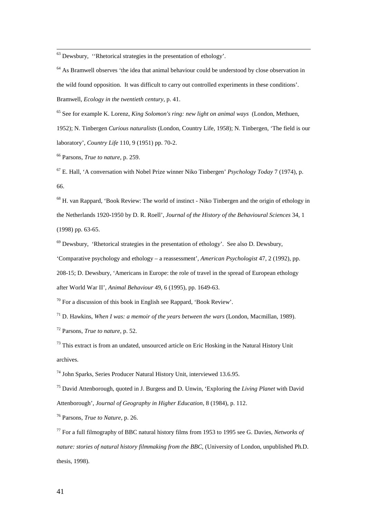$63$  Dewsbury, "Rhetorical strategies in the presentation of ethology'.

 $64$  As Bramwell observes 'the idea that animal behaviour could be understood by close observation in the wild found opposition. It was difficult to carry out controlled experiments in these conditions'. Bramwell, *Ecology in the twentieth century*, p. 41.

<sup>65</sup> See for example K. Lorenz, *King Solomon's ring: new light on animal ways* (London, Methuen, 1952); N. Tinbergen *Curious naturalists* (London, Country Life, 1958); N. Tinbergen, 'The field is our

laboratory', *Country Life* 110, 9 (1951) pp. 70-2.

<sup>66</sup> Parsons, *True to nature,* p. 259.

<sup>67</sup> E. Hall, 'A conversation with Nobel Prize winner Niko Tinbergen' *Psychology Today* 7 (1974), p. 66.

<sup>68</sup> H. van Rappard, 'Book Review: The world of instinct - Niko Tinbergen and the origin of ethology in the Netherlands 1920-1950 by D. R. Roell', *Journal of the History of the Behavioural Sciences* 34, 1 (1998) pp. 63-65.

 $69$  Dewsbury, 'Rhetorical strategies in the presentation of ethology'. See also D. Dewsbury,

'Comparative psychology and ethology – a reassessment', *American Psychologist* 47, 2 (1992), pp.

208-15; D. Dewsbury, 'Americans in Europe: the role of travel in the spread of European ethology

after World War II', *Animal Behaviour* 49, 6 (1995), pp. 1649-63.

 $70$  For a discussion of this book in English see Rappard, 'Book Review'.

<sup>71</sup> D. Hawkins, *When I was: a memoir of the years between the wars* (London, Macmillan, 1989).

<sup>72</sup> Parsons, *True to nature,* p. 52.

 $73$  This extract is from an undated, unsourced article on Eric Hosking in the Natural History Unit archives.

<sup>74</sup> John Sparks, Series Producer Natural History Unit, interviewed 13.6.95.

<sup>75</sup> David Attenborough, quoted in J. Burgess and D. Unwin, 'Exploring the *Living Planet* with David Attenborough', *Journal of Geography in Higher Education,* 8 (1984), p. 112.

<sup>76</sup> Parsons, *True to Nature,* p. 26.

<sup>77</sup> For a full filmography of BBC natural history films from 1953 to 1995 see G. Davies, *Networks of nature: stories of natural history filmmaking from the BBC,* (University of London, unpublished Ph.D. thesis, 1998).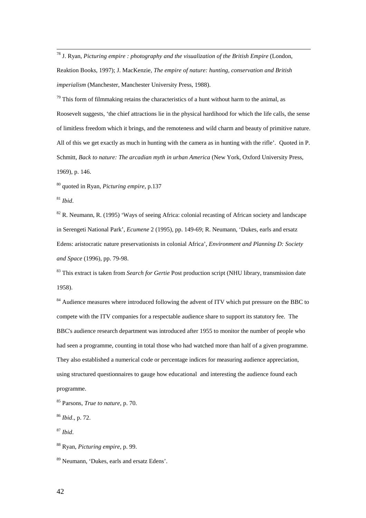<sup>78</sup> J. Ryan, *Picturing empire : photography and the visualization of the British Empire* (London, Reaktion Books, 1997); J. MacKenzie, *The empire of nature: hunting, conservation and British imperialism* (Manchester, Manchester University Press, 1988).

 $79$  This form of filmmaking retains the characteristics of a hunt without harm to the animal, as Roosevelt suggests, 'the chief attractions lie in the physical hardihood for which the life calls, the sense of limitless freedom which it brings, and the remoteness and wild charm and beauty of primitive nature. All of this we get exactly as much in hunting with the camera as in hunting with the rifle'. Quoted in P. Schmitt, *Back to nature: The arcadian myth in urban America* (New York, Oxford University Press, 1969), p. 146.

<sup>80</sup> quoted in Ryan, *Picturing empire*, p.137

<sup>81</sup> *Ibid*.

 $82$  R. Neumann, R. (1995) 'Ways of seeing Africa: colonial recasting of African society and landscape in Serengeti National Park', *Ecumene* 2 (1995), pp. 149-69; R. Neumann, 'Dukes, earls and ersatz Edens: aristocratic nature preservationists in colonial Africa', *Environment and Planning D: Society and Space* (1996), pp. 79-98.

<sup>83</sup> This extract is taken from *Search for Gertie* Post production script (NHU library, transmission date 1958).

<sup>84</sup> Audience measures where introduced following the advent of ITV which put pressure on the BBC to compete with the ITV companies for a respectable audience share to support its statutory fee. The BBC's audience research department was introduced after 1955 to monitor the number of people who had seen a programme, counting in total those who had watched more than half of a given programme. They also established a numerical code or percentage indices for measuring audience appreciation, using structured questionnaires to gauge how educational and interesting the audience found each programme.

<sup>85</sup> Parsons, *True to nature*, p. 70.

<sup>86</sup> *Ibid*., p. 72.

<sup>87</sup> *Ibid*.

<sup>88</sup> Ryan, *Picturing empire,* p. 99.

<sup>89</sup> Neumann, 'Dukes, earls and ersatz Edens'.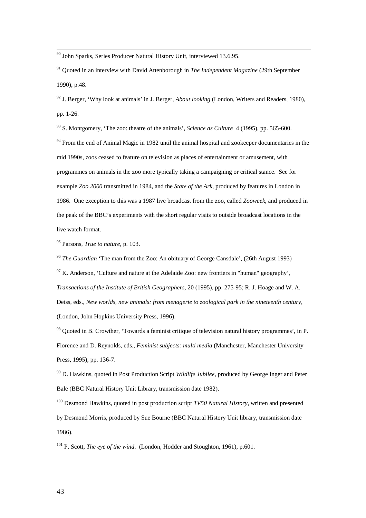$90$  John Sparks, Series Producer Natural History Unit, interviewed 13.6.95.

<sup>91</sup> Quoted in an interview with David Attenborough in *The Independent Magazine* (29th September 1990), p.48.

<sup>92</sup> J. Berger, 'Why look at animals' in J. Berger, *About looking* (London, Writers and Readers, 1980), pp. 1-26.

<sup>93</sup> S. Montgomery, 'The zoo: theatre of the animals', *Science as Culture* 4 (1995), pp. 565-600.

 $94$  From the end of Animal Magic in 1982 until the animal hospital and zookeeper documentaries in the mid 1990s, zoos ceased to feature on television as places of entertainment or amusement, with programmes on animals in the zoo more typically taking a campaigning or critical stance. See for example *Zoo 2000* transmitted in 1984, and the *State of the Ark*, produced by features in London in 1986. One exception to this was a 1987 live broadcast from the zoo, called *Zooweek*, and produced in the peak of the BBC's experiments with the short regular visits to outside broadcast locations in the live watch format.

<sup>95</sup> Parsons, *True to nature*, p. 103.

<sup>96</sup> *The Guardian* 'The man from the Zoo: An obituary of George Cansdale', (26th August 1993)  $97$  K. Anderson, 'Culture and nature at the Adelaide Zoo: new frontiers in "human" geography', *Transactions of the Institute of British Geographers,* 20 (1995), pp. 275-95; R. J. Hoage and W. A. Deiss, eds., *New worlds, new animals: from menagerie to zoological park in the nineteenth century*, (London, John Hopkins University Press, 1996).

<sup>98</sup> Quoted in B. Crowther, 'Towards a feminist critique of television natural history programmes', in P. Florence and D. Reynolds, eds., *Feminist subjects: multi media* (Manchester, Manchester University Press, 1995), pp. 136-7.

<sup>99</sup> D. Hawkins, quoted in Post Production Script *Wildlife Jubilee*, produced by George Inger and Peter Bale (BBC Natural History Unit Library, transmission date 1982).

<sup>100</sup> Desmond Hawkins, quoted in post production script *TV50 Natural History*, written and presented by Desmond Morris, produced by Sue Bourne (BBC Natural History Unit library, transmission date 1986).

<sup>101</sup> P. Scott, *The eye of the wind*. (London, Hodder and Stoughton, 1961), p.601.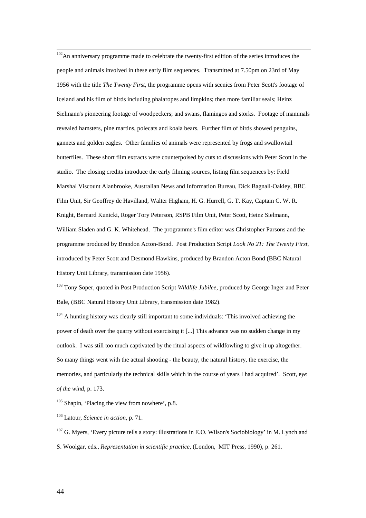$102$ An anniversary programme made to celebrate the twenty-first edition of the series introduces the people and animals involved in these early film sequences. Transmitted at 7.50pm on 23rd of May 1956 with the title *The Twenty First*, the programme opens with scenics from Peter Scott's footage of Iceland and his film of birds including phalaropes and limpkins; then more familiar seals; Heinz Sielmann's pioneering footage of woodpeckers; and swans, flamingos and storks. Footage of mammals revealed hamsters, pine martins, polecats and koala bears. Further film of birds showed penguins, gannets and golden eagles. Other families of animals were represented by frogs and swallowtail butterflies. These short film extracts were counterpoised by cuts to discussions with Peter Scott in the studio. The closing credits introduce the early filming sources, listing film sequences by: Field Marshal Viscount Alanbrooke, Australian News and Information Bureau, Dick Bagnall-Oakley, BBC Film Unit, Sir Geoffrey de Havilland, Walter Higham, H. G. Hurrell, G. T. Kay, Captain C. W. R. Knight, Bernard Kunicki, Roger Tory Peterson, RSPB Film Unit, Peter Scott, Heinz Sielmann, William Sladen and G. K. Whitehead. The programme's film editor was Christopher Parsons and the programme produced by Brandon Acton-Bond. Post Production Script *Look No 21: The Twenty First*, introduced by Peter Scott and Desmond Hawkins, produced by Brandon Acton Bond (BBC Natural History Unit Library, transmission date 1956).

<sup>103</sup> Tony Soper, quoted in Post Production Script *Wildlife Jubilee*, produced by George Inger and Peter Bale, (BBC Natural History Unit Library, transmission date 1982).

<sup>104</sup> A hunting history was clearly still important to some individuals: 'This involved achieving the power of death over the quarry without exercising it [...] This advance was no sudden change in my outlook. I was still too much captivated by the ritual aspects of wildfowling to give it up altogether. So many things went with the actual shooting - the beauty, the natural history, the exercise, the memories, and particularly the technical skills which in the course of years I had acquired'. Scott, e*ye of the wind*, p. 173.

<sup>105</sup> Shapin, 'Placing the view from nowhere', p.8.

<sup>106</sup> Latour, *Science in action*, p. 71.

 $107$  G. Myers, 'Every picture tells a story: illustrations in E.O. Wilson's Sociobiology' in M. Lynch and S. Woolgar, eds., *Representation in scientific practice*, (London, MIT Press, 1990), p. 261.